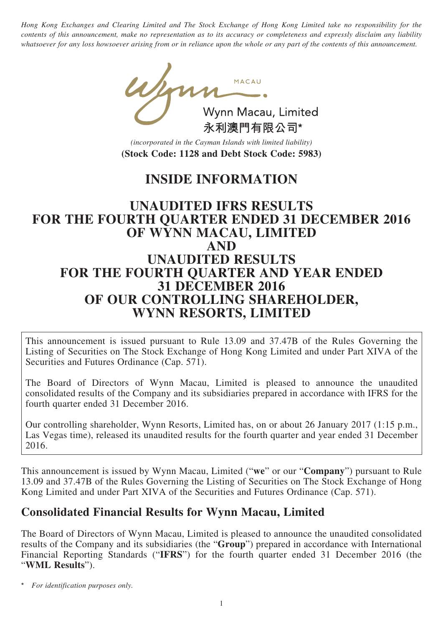*Hong Kong Exchanges and Clearing Limited and The Stock Exchange of Hong Kong Limited take no responsibility for the contents of this announcement, make no representation as to its accuracy or completeness and expressly disclaim any liability whatsoever for any loss howsoever arising from or in reliance upon the whole or any part of the contents of this announcement.*

young Wynn Macau, Limited 永利澳門有限公司\*

*(incorporated in the Cayman Islands with limited liability)* **(Stock Code: 1128 and Debt Stock Code: 5983)**

# **INSIDE INFORMATION**

### **UNAUDITED IFRS RESULTS FOR THE FOURTH QUARTER ENDED 31 DECEMBER 2016 OF WYNN MACAU, LIMITED AND UNAUDITED RESULTS FOR THE FOURTH QUARTER AND YEAR ENDED 31 DECEMBER 2016 OF OUR CONTROLLING SHAREHOLDER, WYNN RESORTS, LIMITED**

This announcement is issued pursuant to Rule 13.09 and 37.47B of the Rules Governing the Listing of Securities on The Stock Exchange of Hong Kong Limited and under Part XIVA of the Securities and Futures Ordinance (Cap. 571).

The Board of Directors of Wynn Macau, Limited is pleased to announce the unaudited consolidated results of the Company and its subsidiaries prepared in accordance with IFRS for the fourth quarter ended 31 December 2016.

Our controlling shareholder, Wynn Resorts, Limited has, on or about 26 January 2017 (1:15 p.m., Las Vegas time), released its unaudited results for the fourth quarter and year ended 31 December 2016.

This announcement is issued by Wynn Macau, Limited ("**we**" or our "**Company**") pursuant to Rule 13.09 and 37.47B of the Rules Governing the Listing of Securities on The Stock Exchange of Hong Kong Limited and under Part XIVA of the Securities and Futures Ordinance (Cap. 571).

### **Consolidated Financial Results for Wynn Macau, Limited**

The Board of Directors of Wynn Macau, Limited is pleased to announce the unaudited consolidated results of the Company and its subsidiaries (the "**Group**") prepared in accordance with International Financial Reporting Standards ("**IFRS**") for the fourth quarter ended 31 December 2016 (the "**WML Results**").

 $For$  *identification purposes only.*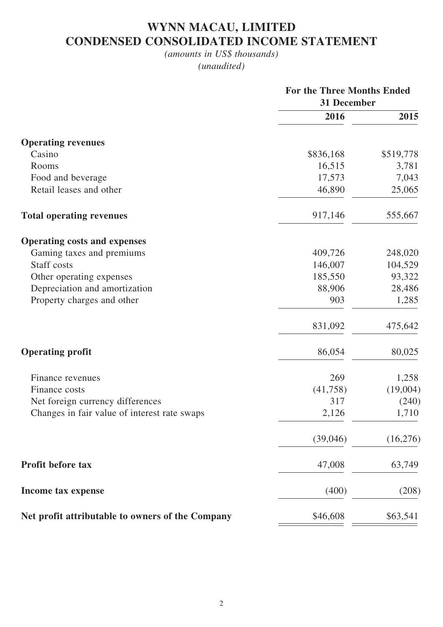## **WYNN MACAU, LIMITED CONDENSED CONSOLIDATED INCOME STATEMENT**

### *(amounts in US\$ thousands) (unaudited)*

|                                                  | <b>For the Three Months Ended</b><br>31 December |           |  |
|--------------------------------------------------|--------------------------------------------------|-----------|--|
|                                                  | 2016                                             | 2015      |  |
| <b>Operating revenues</b>                        |                                                  |           |  |
| Casino                                           | \$836,168                                        | \$519,778 |  |
| Rooms                                            | 16,515                                           | 3,781     |  |
| Food and beverage                                | 17,573                                           | 7,043     |  |
| Retail leases and other                          | 46,890                                           | 25,065    |  |
| <b>Total operating revenues</b>                  | 917,146                                          | 555,667   |  |
| <b>Operating costs and expenses</b>              |                                                  |           |  |
| Gaming taxes and premiums                        | 409,726                                          | 248,020   |  |
| Staff costs                                      | 146,007                                          | 104,529   |  |
| Other operating expenses                         | 185,550                                          | 93,322    |  |
| Depreciation and amortization                    | 88,906                                           | 28,486    |  |
| Property charges and other                       | 903                                              | 1,285     |  |
|                                                  | 831,092                                          | 475,642   |  |
| <b>Operating profit</b>                          | 86,054                                           | 80,025    |  |
| Finance revenues                                 | 269                                              | 1,258     |  |
| Finance costs                                    | (41,758)                                         | (19,004)  |  |
| Net foreign currency differences                 | 317                                              | (240)     |  |
| Changes in fair value of interest rate swaps     | 2,126                                            | 1,710     |  |
|                                                  | (39,046)                                         | (16,276)  |  |
| <b>Profit before tax</b>                         | 47,008                                           | 63,749    |  |
| Income tax expense                               | (400)                                            | (208)     |  |
| Net profit attributable to owners of the Company | \$46,608                                         | \$63,541  |  |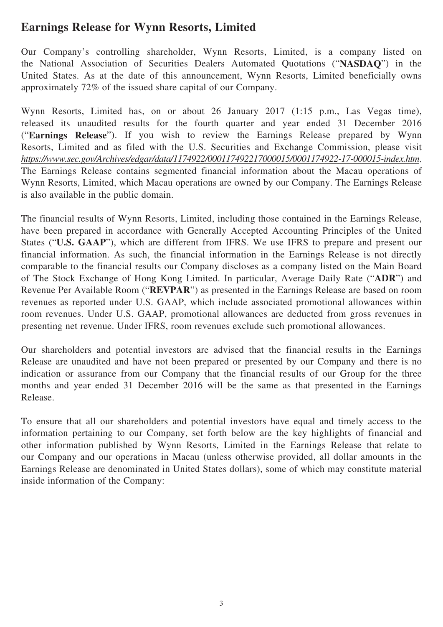### **Earnings Release for Wynn Resorts, Limited**

Our Company's controlling shareholder, Wynn Resorts, Limited, is a company listed on the National Association of Securities Dealers Automated Quotations ("**NASDAQ**") in the United States. As at the date of this announcement, Wynn Resorts, Limited beneficially owns approximately 72% of the issued share capital of our Company.

Wynn Resorts, Limited has, on or about 26 January 2017 (1:15 p.m., Las Vegas time), released its unaudited results for the fourth quarter and year ended 31 December 2016 ("**Earnings Release**"). If you wish to review the Earnings Release prepared by Wynn Resorts, Limited and as filed with the U.S. Securities and Exchange Commission, please visit *https://www.sec.gov/Archives/edgar/data/1174922/000117492217000015/0001174922-17-000015-index.htm*. The Earnings Release contains segmented financial information about the Macau operations of Wynn Resorts, Limited, which Macau operations are owned by our Company. The Earnings Release is also available in the public domain.

The financial results of Wynn Resorts, Limited, including those contained in the Earnings Release, have been prepared in accordance with Generally Accepted Accounting Principles of the United States ("**U.S. GAAP**"), which are different from IFRS. We use IFRS to prepare and present our financial information. As such, the financial information in the Earnings Release is not directly comparable to the financial results our Company discloses as a company listed on the Main Board of The Stock Exchange of Hong Kong Limited. In particular, Average Daily Rate ("**ADR**") and Revenue Per Available Room ("**REVPAR**") as presented in the Earnings Release are based on room revenues as reported under U.S. GAAP, which include associated promotional allowances within room revenues. Under U.S. GAAP, promotional allowances are deducted from gross revenues in presenting net revenue. Under IFRS, room revenues exclude such promotional allowances.

Our shareholders and potential investors are advised that the financial results in the Earnings Release are unaudited and have not been prepared or presented by our Company and there is no indication or assurance from our Company that the financial results of our Group for the three months and year ended 31 December 2016 will be the same as that presented in the Earnings Release.

To ensure that all our shareholders and potential investors have equal and timely access to the information pertaining to our Company, set forth below are the key highlights of financial and other information published by Wynn Resorts, Limited in the Earnings Release that relate to our Company and our operations in Macau (unless otherwise provided, all dollar amounts in the Earnings Release are denominated in United States dollars), some of which may constitute material inside information of the Company: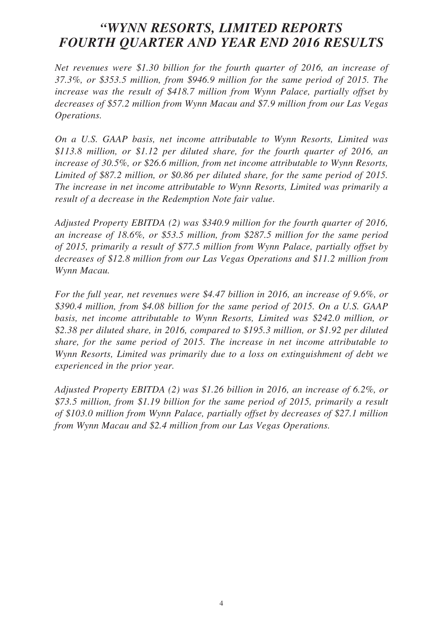## *"WYNN RESORTS, LIMITED REPORTS FOURTH QUARTER AND YEAR END 2016 RESULTS*

*Net revenues were \$1.30 billion for the fourth quarter of 2016, an increase of 37.3%, or \$353.5 million, from \$946.9 million for the same period of 2015. The increase was the result of \$418.7 million from Wynn Palace, partially offset by decreases of \$57.2 million from Wynn Macau and \$7.9 million from our Las Vegas Operations.*

*On a U.S. GAAP basis, net income attributable to Wynn Resorts, Limited was \$113.8 million, or \$1.12 per diluted share, for the fourth quarter of 2016, an increase of 30.5%, or \$26.6 million, from net income attributable to Wynn Resorts, Limited of \$87.2 million, or \$0.86 per diluted share, for the same period of 2015. The increase in net income attributable to Wynn Resorts, Limited was primarily a result of a decrease in the Redemption Note fair value.*

*Adjusted Property EBITDA (2) was \$340.9 million for the fourth quarter of 2016, an increase of 18.6%, or \$53.5 million, from \$287.5 million for the same period of 2015, primarily a result of \$77.5 million from Wynn Palace, partially offset by decreases of \$12.8 million from our Las Vegas Operations and \$11.2 million from Wynn Macau.*

*For the full year, net revenues were \$4.47 billion in 2016, an increase of 9.6%, or \$390.4 million, from \$4.08 billion for the same period of 2015. On a U.S. GAAP basis, net income attributable to Wynn Resorts, Limited was \$242.0 million, or \$2.38 per diluted share, in 2016, compared to \$195.3 million, or \$1.92 per diluted share, for the same period of 2015. The increase in net income attributable to Wynn Resorts, Limited was primarily due to a loss on extinguishment of debt we experienced in the prior year.*

*Adjusted Property EBITDA (2) was \$1.26 billion in 2016, an increase of 6.2%, or \$73.5 million, from \$1.19 billion for the same period of 2015, primarily a result of \$103.0 million from Wynn Palace, partially offset by decreases of \$27.1 million from Wynn Macau and \$2.4 million from our Las Vegas Operations.*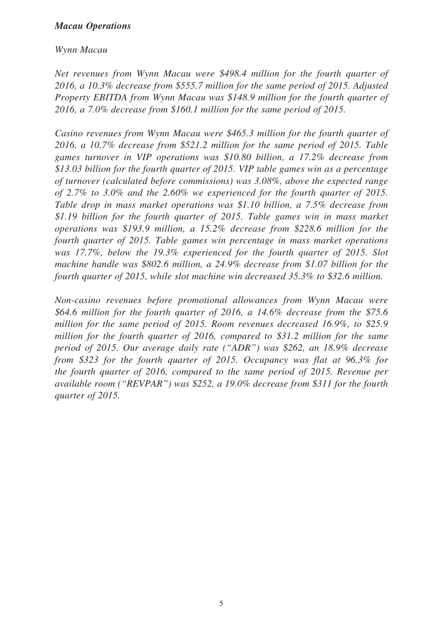#### *Macau Operations*

#### *Wynn Macau*

*Net revenues from Wynn Macau were \$498.4 million for the fourth quarter of 2016, a 10.3% decrease from \$555.7 million for the same period of 2015. Adjusted Property EBITDA from Wynn Macau was \$148.9 million for the fourth quarter of 2016, a 7.0% decrease from \$160.1 million for the same period of 2015.*

*Casino revenues from Wynn Macau were \$465.3 million for the fourth quarter of 2016, a 10.7% decrease from \$521.2 million for the same period of 2015. Table games turnover in VIP operations was \$10.80 billion, a 17.2% decrease from \$13.03 billion for the fourth quarter of 2015. VIP table games win as a percentage of turnover (calculated before commissions) was 3.08%, above the expected range of 2.7% to 3.0% and the 2.60% we experienced for the fourth quarter of 2015. Table drop in mass market operations was \$1.10 billion, a 7.5% decrease from \$1.19 billion for the fourth quarter of 2015. Table games win in mass market operations was \$193.9 million, a 15.2% decrease from \$228.6 million for the fourth quarter of 2015. Table games win percentage in mass market operations was 17.7%, below the 19.3% experienced for the fourth quarter of 2015. Slot machine handle was \$802.6 million, a 24.9% decrease from \$1.07 billion for the fourth quarter of 2015, while slot machine win decreased 35.3% to \$32.6 million.*

*Non-casino revenues before promotional allowances from Wynn Macau were \$64.6 million for the fourth quarter of 2016, a 14.6% decrease from the \$75.6 million for the same period of 2015. Room revenues decreased 16.9%, to \$25.9 million for the fourth quarter of 2016, compared to \$31.2 million for the same period of 2015. Our average daily rate ("ADR") was \$262, an 18.9% decrease from \$323 for the fourth quarter of 2015. Occupancy was flat at 96.3% for the fourth quarter of 2016, compared to the same period of 2015. Revenue per available room ("REVPAR") was \$252, a 19.0% decrease from \$311 for the fourth quarter of 2015.*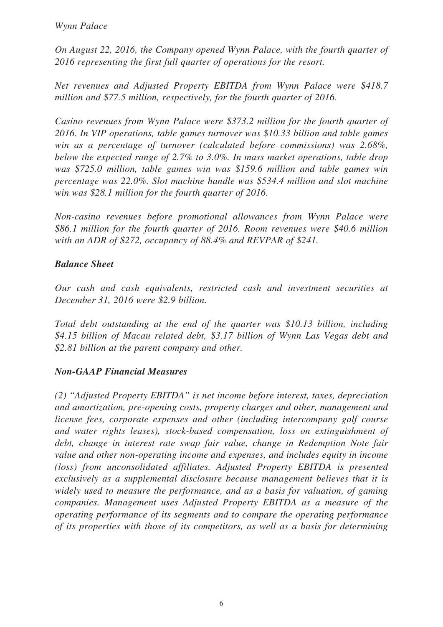*On August 22, 2016, the Company opened Wynn Palace, with the fourth quarter of 2016 representing the first full quarter of operations for the resort.*

*Net revenues and Adjusted Property EBITDA from Wynn Palace were \$418.7 million and \$77.5 million, respectively, for the fourth quarter of 2016.*

*Casino revenues from Wynn Palace were \$373.2 million for the fourth quarter of 2016. In VIP operations, table games turnover was \$10.33 billion and table games win as a percentage of turnover (calculated before commissions) was 2.68%, below the expected range of 2.7% to 3.0%. In mass market operations, table drop was \$725.0 million, table games win was \$159.6 million and table games win percentage was 22.0%. Slot machine handle was \$534.4 million and slot machine win was \$28.1 million for the fourth quarter of 2016.*

*Non-casino revenues before promotional allowances from Wynn Palace were \$86.1 million for the fourth quarter of 2016. Room revenues were \$40.6 million with an ADR of \$272, occupancy of 88.4% and REVPAR of \$241.*

### *Balance Sheet*

*Our cash and cash equivalents, restricted cash and investment securities at December 31, 2016 were \$2.9 billion.*

*Total debt outstanding at the end of the quarter was \$10.13 billion, including \$4.15 billion of Macau related debt, \$3.17 billion of Wynn Las Vegas debt and \$2.81 billion at the parent company and other.*

### *Non-GAAP Financial Measures*

*(2) "Adjusted Property EBITDA" is net income before interest, taxes, depreciation and amortization, pre-opening costs, property charges and other, management and license fees, corporate expenses and other (including intercompany golf course and water rights leases), stock-based compensation, loss on extinguishment of debt, change in interest rate swap fair value, change in Redemption Note fair value and other non-operating income and expenses, and includes equity in income (loss) from unconsolidated affiliates. Adjusted Property EBITDA is presented exclusively as a supplemental disclosure because management believes that it is widely used to measure the performance, and as a basis for valuation, of gaming companies. Management uses Adjusted Property EBITDA as a measure of the operating performance of its segments and to compare the operating performance of its properties with those of its competitors, as well as a basis for determining*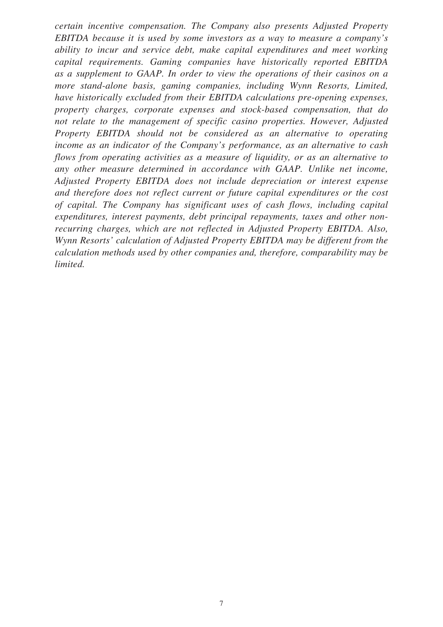*certain incentive compensation. The Company also presents Adjusted Property EBITDA because it is used by some investors as a way to measure a company's ability to incur and service debt, make capital expenditures and meet working capital requirements. Gaming companies have historically reported EBITDA as a supplement to GAAP. In order to view the operations of their casinos on a more stand-alone basis, gaming companies, including Wynn Resorts, Limited, have historically excluded from their EBITDA calculations pre-opening expenses, property charges, corporate expenses and stock-based compensation, that do not relate to the management of specific casino properties. However, Adjusted Property EBITDA should not be considered as an alternative to operating income as an indicator of the Company's performance, as an alternative to cash flows from operating activities as a measure of liquidity, or as an alternative to any other measure determined in accordance with GAAP. Unlike net income, Adjusted Property EBITDA does not include depreciation or interest expense and therefore does not reflect current or future capital expenditures or the cost of capital. The Company has significant uses of cash flows, including capital expenditures, interest payments, debt principal repayments, taxes and other nonrecurring charges, which are not reflected in Adjusted Property EBITDA. Also, Wynn Resorts' calculation of Adjusted Property EBITDA may be different from the calculation methods used by other companies and, therefore, comparability may be limited.*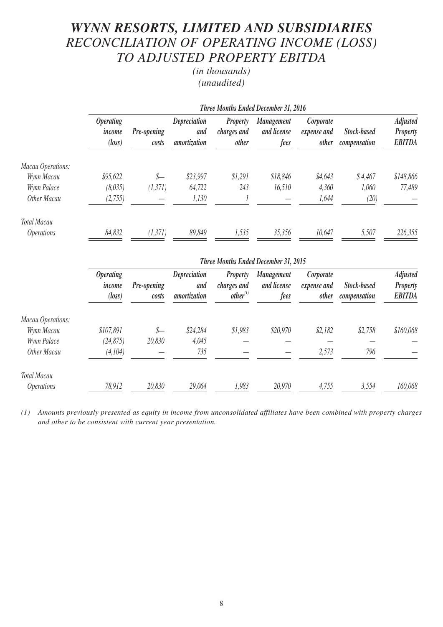# *WYNN RESORTS, LIMITED AND SUBSIDIARIES RECONCILIATION OF OPERATING INCOME (LOSS) TO ADJUSTED PROPERTY EBITDA*

*(in thousands) (unaudited)*

|                          | Three Months Ended December 31, 2016                 |                      |                                     |                                                |                                          |                                          |                             |                                                     |
|--------------------------|------------------------------------------------------|----------------------|-------------------------------------|------------------------------------------------|------------------------------------------|------------------------------------------|-----------------------------|-----------------------------------------------------|
|                          | <i><b>Operating</b></i><br>income<br>$(\text{loss})$ | Pre-opening<br>costs | Depreciation<br>and<br>amortization | <b>Property</b><br>charges and<br><i>other</i> | <b>Management</b><br>and license<br>fees | Corporate<br>expense and<br><i>other</i> | Stock-based<br>compensation | <b>Adjusted</b><br><b>Property</b><br><b>EBITDA</b> |
| Macau Operations:        |                                                      |                      |                                     |                                                |                                          |                                          |                             |                                                     |
| Wynn Macau               | \$95,622                                             | \$—                  | \$23,997                            | \$1,291                                        | \$18,846                                 | \$4,643                                  | \$4,467                     | \$148,866                                           |
| Wynn Palace              | (8,035)                                              | (1,371)              | 64,722                              | 243                                            | 16,510                                   | 4,360                                    | 1,060                       | 77,489                                              |
| Other Macau              | (2,755)                                              |                      | 1,130                               |                                                |                                          | 1,644                                    | (20)                        |                                                     |
| <b>Total Macau</b>       |                                                      |                      |                                     |                                                |                                          |                                          |                             |                                                     |
| <i><b>Operations</b></i> | 84,832                                               | (1,371)              | 89,849                              | 1,535                                          | 35,356                                   | 10,647                                   | 5,507                       | 226,355                                             |

|                          |                                                      | <b>Three Months Ended December 31, 2015</b> |                                            |                                                        |                                          |                                          |                             |                                                     |  |
|--------------------------|------------------------------------------------------|---------------------------------------------|--------------------------------------------|--------------------------------------------------------|------------------------------------------|------------------------------------------|-----------------------------|-----------------------------------------------------|--|
|                          | <i><b>Operating</b></i><br>income<br>$(\text{loss})$ | <b>Pre-opening</b><br>costs                 | <b>Depreciation</b><br>and<br>amortization | <b>Property</b><br>charges and<br>other <sup>(1)</sup> | <b>Management</b><br>and license<br>fees | Corporate<br>expense and<br><i>other</i> | Stock-based<br>compensation | <b>Adjusted</b><br><b>Property</b><br><b>EBITDA</b> |  |
| Macau Operations:        |                                                      |                                             |                                            |                                                        |                                          |                                          |                             |                                                     |  |
| Wynn Macau               | \$107,891                                            | \$—                                         | \$24,284                                   | \$1,983                                                | \$20,970                                 | \$2,182                                  | \$2,758                     | \$160,068                                           |  |
| Wynn Palace              | (24, 875)                                            | 20,830                                      | 4,045                                      |                                                        |                                          |                                          |                             |                                                     |  |
| Other Macau              | (4,104)                                              |                                             | 735                                        |                                                        |                                          | 2,573                                    | 796                         |                                                     |  |
| <b>Total Macau</b>       |                                                      |                                             |                                            |                                                        |                                          |                                          |                             |                                                     |  |
| <i><b>Operations</b></i> | 78,912                                               | 20,830                                      | 29,064                                     | 1,983                                                  | 20,970                                   | 4,755                                    | 3,554                       | 160,068                                             |  |

*(1) Amounts previously presented as equity in income from unconsolidated affiliates have been combined with property charges and other to be consistent with current year presentation.*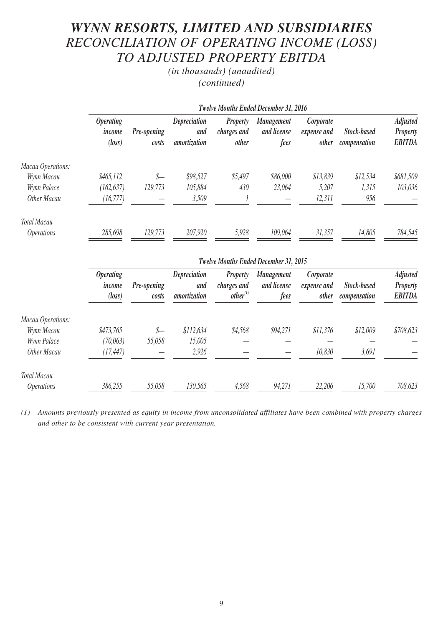# *WYNN RESORTS, LIMITED AND SUBSIDIARIES RECONCILIATION OF OPERATING INCOME (LOSS) TO ADJUSTED PROPERTY EBITDA*

*(in thousands) (unaudited) (continued)*

|                          |                                                      | <b>Twelve Months Ended December 31, 2016</b> |                                            |                                                |                                          |                                          |                                    |                                                     |  |
|--------------------------|------------------------------------------------------|----------------------------------------------|--------------------------------------------|------------------------------------------------|------------------------------------------|------------------------------------------|------------------------------------|-----------------------------------------------------|--|
|                          | <i><b>Operating</b></i><br>income<br>$(\text{loss})$ | <b>Pre-opening</b><br>costs                  | <b>Depreciation</b><br>and<br>amortization | <b>Property</b><br>charges and<br><i>other</i> | <b>Management</b><br>and license<br>fees | Corporate<br>expense and<br><i>other</i> | <b>Stock-based</b><br>compensation | <b>Adjusted</b><br><b>Property</b><br><b>EBITDA</b> |  |
| Macau Operations:        |                                                      |                                              |                                            |                                                |                                          |                                          |                                    |                                                     |  |
| Wynn Macau               | \$465,112                                            | \$—                                          | \$98,527                                   | \$5,497                                        | \$86,000                                 | \$13,839                                 | \$12,534                           | \$681,509                                           |  |
| Wynn Palace              | (162, 637)                                           | 129,773                                      | 105,884                                    | 430                                            | 23,064                                   | 5,207                                    | 1,315                              | 103,036                                             |  |
| Other Macau              | (16, 777)                                            |                                              | 3,509                                      |                                                |                                          | 12,311                                   | 956                                |                                                     |  |
| <b>Total Macau</b>       |                                                      |                                              |                                            |                                                |                                          |                                          |                                    |                                                     |  |
| <i><b>Operations</b></i> | 285,698                                              | 129,773                                      | 207,920                                    | 5,928                                          | 109,064                                  | 31,357                                   | 14,805                             | 784,545                                             |  |

|                          | <b>Twelve Months Ended December 31, 2015</b>         |                      |                                            |                                                        |                                          |                                          |                             |                                                     |
|--------------------------|------------------------------------------------------|----------------------|--------------------------------------------|--------------------------------------------------------|------------------------------------------|------------------------------------------|-----------------------------|-----------------------------------------------------|
|                          | <i><b>Operating</b></i><br>income<br>$(\text{loss})$ | Pre-opening<br>costs | <b>Depreciation</b><br>and<br>amortization | <b>Property</b><br>charges and<br>other <sup>(1)</sup> | <b>Management</b><br>and license<br>fees | Corporate<br>expense and<br><i>other</i> | Stock-based<br>compensation | <b>Adjusted</b><br><b>Property</b><br><b>EBITDA</b> |
| Macau Operations:        |                                                      |                      |                                            |                                                        |                                          |                                          |                             |                                                     |
| Wynn Macau               | \$473,765                                            | \$—                  | \$112,634                                  | \$4,568                                                | \$94,271                                 | \$11,376                                 | \$12,009                    | \$708,623                                           |
| Wynn Palace              | (70,063)                                             | 55,058               | 15,005                                     |                                                        |                                          |                                          |                             |                                                     |
| Other Macau              | (17, 447)                                            |                      | 2,926                                      |                                                        |                                          | 10,830                                   | 3,691                       |                                                     |
| <b>Total Macau</b>       |                                                      |                      |                                            |                                                        |                                          |                                          |                             |                                                     |
| <i><b>Operations</b></i> | 386,255                                              | 55,058               | 130,565                                    | 4,568                                                  | 94,271                                   | 22,206                                   | 15,700                      | 708,623                                             |

*(1) Amounts previously presented as equity in income from unconsolidated affiliates have been combined with property charges and other to be consistent with current year presentation.*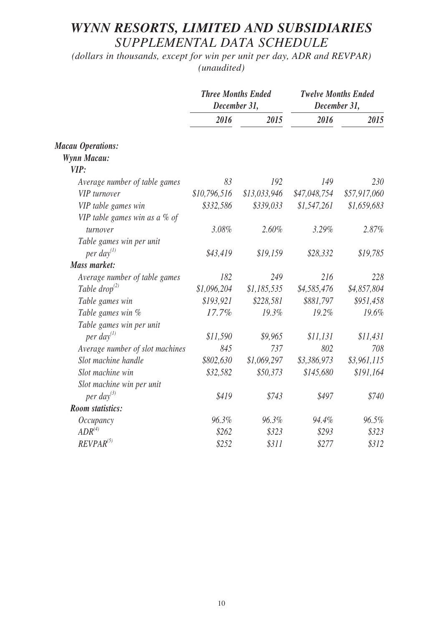# *WYNN RESORTS, LIMITED AND SUBSIDIARIES SUPPLEMENTAL DATA SCHEDULE*

*(dollars in thousands, except for win per unit per day, ADR and REVPAR) (unaudited)*

|                                 | <b>Three Months Ended</b><br>December 31, |              | <b>Twelve Months Ended</b><br>December 31, |              |
|---------------------------------|-------------------------------------------|--------------|--------------------------------------------|--------------|
|                                 | 2016                                      | 2015         | 2016                                       | 2015         |
| <b>Macau Operations:</b>        |                                           |              |                                            |              |
| <b>Wynn Macau:</b>              |                                           |              |                                            |              |
| VIP:                            |                                           |              |                                            |              |
| Average number of table games   | 83                                        | 192          | 149                                        | 230          |
| <b>VIP</b> turnover             | \$10,796,516                              | \$13,033,946 | \$47,048,754                               | \$57,917,060 |
| VIP table games win             | \$332,586                                 | \$339,033    | \$1,547,261                                | \$1,659,683  |
| VIP table games win as a $%$ of |                                           |              |                                            |              |
| turnover                        | 3.08%                                     | 2.60%        | 3.29%                                      | 2.87%        |
| Table games win per unit        |                                           |              |                                            |              |
| per day $^{(1)}$                | \$43,419                                  | \$19,159     | \$28,332                                   | \$19,785     |
| <b>Mass market:</b>             |                                           |              |                                            |              |
| Average number of table games   | 182                                       | 249          | 216                                        | 228          |
| Table drop <sup>(2)</sup>       | \$1,096,204                               | \$1,185,535  | \$4,585,476                                | \$4,857,804  |
| Table games win                 | \$193,921                                 | \$228,581    | \$881,797                                  | \$951,458    |
| Table games win %               | 17.7%                                     | 19.3%        | 19.2%                                      | 19.6%        |
| Table games win per unit        |                                           |              |                                            |              |
| per day $^{(1)}$                | \$11,590                                  | \$9,965      | \$11,131                                   | \$11,431     |
| Average number of slot machines | 845                                       | 737          | 802                                        | 708          |
| Slot machine handle             | \$802,630                                 | \$1,069,297  | \$3,386,973                                | \$3,961,115  |
| Slot machine win                | \$32,582                                  | \$50,373     | \$145,680                                  | \$191,164    |
| Slot machine win per unit       |                                           |              |                                            |              |
| per day <sup>(3)</sup>          | \$419                                     | \$743        | \$497                                      | \$740        |
| <b>Room</b> statistics:         |                                           |              |                                            |              |
| <i>Occupancy</i>                | 96.3%                                     | 96.3%        | 94.4%                                      | 96.5%        |
| $ADR^{(4)}$                     | \$262                                     | \$323        | \$293                                      | \$323        |
| $REVPAR^{(5)}$                  | \$252                                     | \$311        | \$277                                      | \$312        |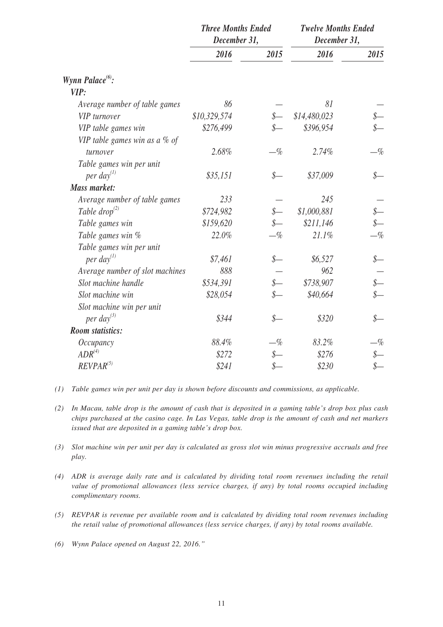|                                  | December 31, | <b>Three Months Ended</b> | <b>Twelve Months Ended</b><br>December 31, |       |  |
|----------------------------------|--------------|---------------------------|--------------------------------------------|-------|--|
|                                  | 2016         | 2015                      | 2016                                       | 2015  |  |
| Wynn Palace <sup>(6)</sup> :     |              |                           |                                            |       |  |
| VIP:                             |              |                           |                                            |       |  |
| Average number of table games    | 86           |                           | 81                                         |       |  |
| <b>VIP</b> turnover              | \$10,329,574 |                           | \$14,480,023                               |       |  |
| VIP table games win              | \$276,499    |                           | \$396,954                                  |       |  |
| VIP table games win as a $\%$ of |              |                           |                                            |       |  |
| turnover                         | 2.68%        | $-\%$                     | 2.74%                                      | $-\%$ |  |
| Table games win per unit         |              |                           |                                            |       |  |
| per day $^{(1)}$                 | \$35,151     | $S-$                      | \$37,009                                   |       |  |
| <b>Mass market:</b>              |              |                           |                                            |       |  |
| Average number of table games    | 233          |                           | 245                                        |       |  |
| Table drop <sup>(2)</sup>        | \$724,982    |                           | \$1,000,881                                |       |  |
| Table games win                  | \$159,620    |                           | \$211,146                                  |       |  |
| Table games win %                | 22.0%        | $-\%$                     | 21.1%                                      | $-\%$ |  |
| Table games win per unit         |              |                           |                                            |       |  |
| per day $^{(1)}$                 | \$7,461      | $S-$                      | \$6,527                                    |       |  |
| Average number of slot machines  | 888          |                           | 962                                        |       |  |
| Slot machine handle              | \$534,391    |                           | \$738,907                                  |       |  |
| Slot machine win                 | \$28,054     |                           | \$40,664                                   |       |  |
| Slot machine win per unit        |              |                           |                                            |       |  |
| per day <sup>(3)</sup>           | \$344        | S—                        | \$320                                      | $S-$  |  |
| <b>Room</b> statistics:          |              |                           |                                            |       |  |
| <i>Occupancy</i>                 | 88.4%        | -%                        | 83.2%                                      | $-\%$ |  |
| $ADR^{(4)}$                      | \$272        |                           | \$276                                      |       |  |
| $REVPAR^{(5)}$                   | \$241        |                           | \$230                                      |       |  |

- *(1) Table games win per unit per day is shown before discounts and commissions, as applicable.*
- *(2) In Macau, table drop is the amount of cash that is deposited in a gaming table's drop box plus cash chips purchased at the casino cage. In Las Vegas, table drop is the amount of cash and net markers issued that are deposited in a gaming table's drop box.*
- *(3) Slot machine win per unit per day is calculated as gross slot win minus progressive accruals and free play.*
- *(4) ADR is average daily rate and is calculated by dividing total room revenues including the retail value of promotional allowances (less service charges, if any) by total rooms occupied including complimentary rooms.*
- *(5) REVPAR is revenue per available room and is calculated by dividing total room revenues including the retail value of promotional allowances (less service charges, if any) by total rooms available.*
- *(6) Wynn Palace opened on August 22, 2016."*